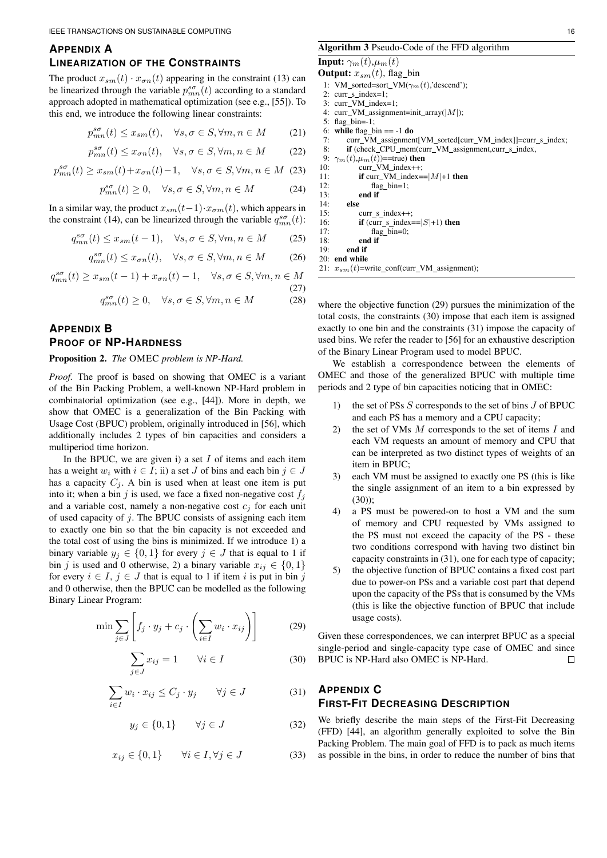### **APPENDIX A**

#### **LINEARIZATION OF THE CONSTRAINTS**

The product  $x_{sm}(t) \cdot x_{\sigma n}(t)$  appearing in the constraint (13) can be linearized through the variable  $p_{mn}^{s\sigma}(t)$  according to a standard approach adopted in mathematical optimization (see e.g., [55]). To this end, we introduce the following linear constraints:

$$
p_{mn}^{s\sigma}(t) \le x_{sm}(t), \quad \forall s, \sigma \in S, \forall m, n \in M \tag{21}
$$

$$
p_{mn}^{s\sigma}(t) \le x_{\sigma n}(t), \quad \forall s, \sigma \in S, \forall m, n \in M \tag{22}
$$

$$
p_{mn}^{s\sigma}(t) \ge x_{sm}(t) + x_{\sigma n}(t) - 1, \quad \forall s, \sigma \in S, \forall m, n \in M \tag{23}
$$

$$
p_{mn}^{s\sigma}(t) \ge 0, \quad \forall s, \sigma \in S, \forall m, n \in M \tag{24}
$$

In a similar way, the product  $x_{sm}(t-1) \cdot x_{\sigma m}(t)$ , which appears in the constraint (14), can be linearized through the variable  $q_{mn}^{s\sigma}(t)$ :

$$
q_{mn}^{s\sigma}(t) \le x_{sm}(t-1), \quad \forall s, \sigma \in S, \forall m, n \in M \tag{25}
$$

$$
q_{mn}^{s\sigma}(t) \le x_{\sigma n}(t), \quad \forall s, \sigma \in S, \forall m, n \in M \tag{26}
$$

$$
q_{mn}^{s\sigma}(t) \ge x_{sm}(t-1) + x_{\sigma n}(t) - 1, \quad \forall s, \sigma \in S, \forall m, n \in M
$$
\n(27)

$$
q_{mn}^{s\sigma}(t) \ge 0, \quad \forall s, \sigma \in S, \forall m, n \in M \tag{28}
$$

# **APPENDIX B PROOF OF NP-HARDNESS**

#### Proposition 2. *The* OMEC *problem is NP-Hard.*

*Proof.* The proof is based on showing that OMEC is a variant of the Bin Packing Problem, a well-known NP-Hard problem in combinatorial optimization (see e.g., [44]). More in depth, we show that OMEC is a generalization of the Bin Packing with Usage Cost (BPUC) problem, originally introduced in [56], which additionally includes 2 types of bin capacities and considers a multiperiod time horizon.

In the BPUC, we are given i) a set  $I$  of items and each item has a weight w<sub>i</sub> with  $i \in I$ ; ii) a set J of bins and each bin  $j \in J$ has a capacity  $C_j$ . A bin is used when at least one item is put into it; when a bin j is used, we face a fixed non-negative cost  $f_i$ and a variable cost, namely a non-negative cost  $c_j$  for each unit of used capacity of  $j$ . The BPUC consists of assigning each item to exactly one bin so that the bin capacity is not exceeded and the total cost of using the bins is minimized. If we introduce 1) a binary variable  $y_j \in \{0,1\}$  for every  $j \in J$  that is equal to 1 if bin j is used and 0 otherwise, 2) a binary variable  $x_{ij} \in \{0, 1\}$ for every  $i \in I$ ,  $j \in J$  that is equal to 1 if item i is put in bin j and 0 otherwise, then the BPUC can be modelled as the following Binary Linear Program:

$$
\min \sum_{j \in J} \left[ f_j \cdot y_j + c_j \cdot \left( \sum_{i \in I} w_i \cdot x_{ij} \right) \right]
$$
 (29)

$$
\sum_{j \in J} x_{ij} = 1 \qquad \forall i \in I \tag{30}
$$

$$
\sum_{i \in I} w_i \cdot x_{ij} \le C_j \cdot y_j \qquad \forall j \in J \tag{31}
$$

$$
y_j \in \{0, 1\} \qquad \forall j \in J \tag{32}
$$

$$
x_{ij} \in \{0, 1\} \qquad \forall i \in I, \forall j \in J \tag{33}
$$

#### Algorithm 3 Pseudo-Code of the FFD algorithm

```
Input: \gamma_m(t), \mu_m(t)
```
- **Output:**  $x_{sm}(t)$ , flag bin
- 1: VM\_sorted=sort\_VM( $\gamma_m(t)$ ,'descend');  $2:$   $curr_s_index=1;$
- 3: curr VM index=1;
- 4:  $curr\_VM\_assignment=init\_array(|M|);$
- 5: flag\_bin=-1;
- 6: while flag\_bin  $== -1$  do<br>7: curr VM assignment
- curr\_VM\_assignment[VM\_sorted[curr\_VM\_index]]=curr\_s\_index; 8: if (check\_CPU\_mem(curr\_VM\_assignment,curr\_s\_index,
- 

```
9: \gamma_m(t), \mu_m(t)==true) then<br>10: curr_VM_index++;
                  curr_VM_index++;
```
11: **if** curr\_VM\_index== $|M|+1$  then<br>12: flag\_bin=1;

```
12: flag\_bin=1;<br>13: end ifend if
14: else
```

```
15: curr_s_index++;
```

```
16: if (curr_s_index==|S|+1) then<br>17: flag bin=0:
                 flag bin=0;
```

```
18: end if
19<sup>°</sup> end if
```
20: end while

21:  $x_{sm}(t)$ =write\_conf(curr\_VM\_assignment);

where the objective function (29) pursues the minimization of the total costs, the constraints (30) impose that each item is assigned exactly to one bin and the constraints (31) impose the capacity of used bins. We refer the reader to [56] for an exhaustive description of the Binary Linear Program used to model BPUC.

We establish a correspondence between the elements of OMEC and those of the generalized BPUC with multiple time periods and 2 type of bin capacities noticing that in OMEC:

- 1) the set of PSs  $S$  corresponds to the set of bins  $J$  of BPUC and each PS has a memory and a CPU capacity;
- 2) the set of VMs  $M$  corresponds to the set of items  $I$  and each VM requests an amount of memory and CPU that can be interpreted as two distinct types of weights of an item in BPUC;
- 3) each VM must be assigned to exactly one PS (this is like the single assignment of an item to a bin expressed by  $(30)$ :
- 4) a PS must be powered-on to host a VM and the sum of memory and CPU requested by VMs assigned to the PS must not exceed the capacity of the PS - these two conditions correspond with having two distinct bin capacity constraints in (31), one for each type of capacity;
- 5) the objective function of BPUC contains a fixed cost part due to power-on PSs and a variable cost part that depend upon the capacity of the PSs that is consumed by the VMs (this is like the objective function of BPUC that include usage costs).

Given these correspondences, we can interpret BPUC as a special single-period and single-capacity type case of OMEC and since BPUC is NP-Hard also OMEC is NP-Hard.  $\Box$ 

## **APPENDIX C FIRST-FIT DECREASING DESCRIPTION**

We briefly describe the main steps of the First-Fit Decreasing (FFD) [44], an algorithm generally exploited to solve the Bin Packing Problem. The main goal of FFD is to pack as much items as possible in the bins, in order to reduce the number of bins that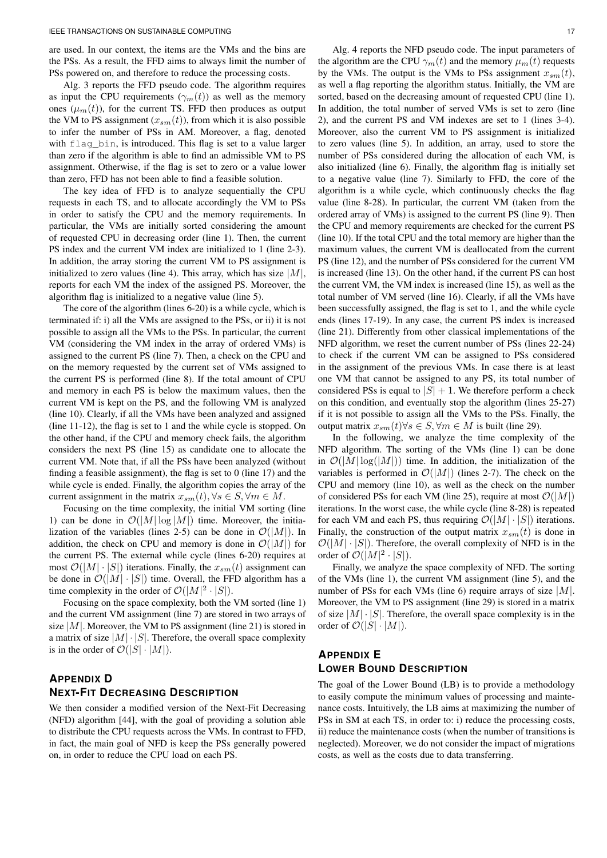are used. In our context, the items are the VMs and the bins are the PSs. As a result, the FFD aims to always limit the number of PSs powered on, and therefore to reduce the processing costs.

Alg. 3 reports the FFD pseudo code. The algorithm requires as input the CPU requirements  $(\gamma_m(t))$  as well as the memory ones  $(\mu_m(t))$ , for the current TS. FFD then produces as output the VM to PS assignment  $(x_{sm}(t))$ , from which it is also possible to infer the number of PSs in AM. Moreover, a flag, denoted with flag\_bin, is introduced. This flag is set to a value larger than zero if the algorithm is able to find an admissible VM to PS assignment. Otherwise, if the flag is set to zero or a value lower than zero, FFD has not been able to find a feasible solution.

The key idea of FFD is to analyze sequentially the CPU requests in each TS, and to allocate accordingly the VM to PSs in order to satisfy the CPU and the memory requirements. In particular, the VMs are initially sorted considering the amount of requested CPU in decreasing order (line 1). Then, the current PS index and the current VM index are initialized to 1 (line 2-3). In addition, the array storing the current VM to PS assignment is initialized to zero values (line 4). This array, which has size  $|M|$ , reports for each VM the index of the assigned PS. Moreover, the algorithm flag is initialized to a negative value (line 5).

The core of the algorithm (lines 6-20) is a while cycle, which is terminated if: i) all the VMs are assigned to the PSs, or ii) it is not possible to assign all the VMs to the PSs. In particular, the current VM (considering the VM index in the array of ordered VMs) is assigned to the current PS (line 7). Then, a check on the CPU and on the memory requested by the current set of VMs assigned to the current PS is performed (line 8). If the total amount of CPU and memory in each PS is below the maximum values, then the current VM is kept on the PS, and the following VM is analyzed (line 10). Clearly, if all the VMs have been analyzed and assigned (line 11-12), the flag is set to 1 and the while cycle is stopped. On the other hand, if the CPU and memory check fails, the algorithm considers the next PS (line 15) as candidate one to allocate the current VM. Note that, if all the PSs have been analyzed (without finding a feasible assignment), the flag is set to 0 (line 17) and the while cycle is ended. Finally, the algorithm copies the array of the current assignment in the matrix  $x_{sm}(t), \forall s \in S, \forall m \in M$ .

Focusing on the time complexity, the initial VM sorting (line 1) can be done in  $\mathcal{O}(|M| \log |M|)$  time. Moreover, the initialization of the variables (lines 2-5) can be done in  $\mathcal{O}(|M|)$ . In addition, the check on CPU and memory is done in  $\mathcal{O}(|M|)$  for the current PS. The external while cycle (lines 6-20) requires at most  $\mathcal{O}(|M| \cdot |S|)$  iterations. Finally, the  $x_{sm}(t)$  assignment can be done in  $\mathcal{O}(|M| \cdot |S|)$  time. Overall, the FFD algorithm has a time complexity in the order of  $\mathcal{O}(|M|^2 \cdot |S|)$ .

Focusing on the space complexity, both the VM sorted (line 1) and the current VM assignment (line 7) are stored in two arrays of size  $|M|$ . Moreover, the VM to PS assignment (line 21) is stored in a matrix of size  $|M| \cdot |S|$ . Therefore, the overall space complexity is in the order of  $\mathcal{O}(|S| \cdot |M|)$ .

## **APPENDIX D NEXT-FIT DECREASING DESCRIPTION**

We then consider a modified version of the Next-Fit Decreasing (NFD) algorithm [44], with the goal of providing a solution able to distribute the CPU requests across the VMs. In contrast to FFD, in fact, the main goal of NFD is keep the PSs generally powered on, in order to reduce the CPU load on each PS.

Alg. 4 reports the NFD pseudo code. The input parameters of the algorithm are the CPU  $\gamma_m(t)$  and the memory  $\mu_m(t)$  requests by the VMs. The output is the VMs to PSs assignment  $x_{sm}(t)$ , as well a flag reporting the algorithm status. Initially, the VM are sorted, based on the decreasing amount of requested CPU (line 1). In addition, the total number of served VMs is set to zero (line 2), and the current PS and VM indexes are set to 1 (lines 3-4). Moreover, also the current VM to PS assignment is initialized to zero values (line 5). In addition, an array, used to store the number of PSs considered during the allocation of each VM, is also initialized (line 6). Finally, the algorithm flag is initially set to a negative value (line 7). Similarly to FFD, the core of the algorithm is a while cycle, which continuously checks the flag value (line 8-28). In particular, the current VM (taken from the ordered array of VMs) is assigned to the current PS (line 9). Then the CPU and memory requirements are checked for the current PS (line 10). If the total CPU and the total memory are higher than the maximum values, the current VM is deallocated from the current PS (line 12), and the number of PSs considered for the current VM is increased (line 13). On the other hand, if the current PS can host the current VM, the VM index is increased (line 15), as well as the total number of VM served (line 16). Clearly, if all the VMs have been successfully assigned, the flag is set to 1, and the while cycle ends (lines 17-19). In any case, the current PS index is increased (line 21). Differently from other classical implementations of the NFD algorithm, we reset the current number of PSs (lines 22-24) to check if the current VM can be assigned to PSs considered in the assignment of the previous VMs. In case there is at least one VM that cannot be assigned to any PS, its total number of considered PSs is equal to  $|S| + 1$ . We therefore perform a check on this condition, and eventually stop the algorithm (lines 25-27) if it is not possible to assign all the VMs to the PSs. Finally, the output matrix  $x_{sm}(t)$ ∀s ∈  $S, \forall m \in M$  is built (line 29).

In the following, we analyze the time complexity of the NFD algorithm. The sorting of the VMs (line 1) can be done in  $\mathcal{O}(|M| \log(|M|))$  time. In addition, the initialization of the variables is performed in  $\mathcal{O}(|M|)$  (lines 2-7). The check on the CPU and memory (line 10), as well as the check on the number of considered PSs for each VM (line 25), require at most  $\mathcal{O}(|M|)$ iterations. In the worst case, the while cycle (line 8-28) is repeated for each VM and each PS, thus requiring  $\mathcal{O}(|M| \cdot |S|)$  iterations. Finally, the construction of the output matrix  $x_{sm}(t)$  is done in  $\mathcal{O}(|M| \cdot |S|)$ . Therefore, the overall complexity of NFD is in the order of  $\mathcal{O}(|M|^2 \cdot |S|)$ .

Finally, we analyze the space complexity of NFD. The sorting of the VMs (line 1), the current VM assignment (line 5), and the number of PSs for each VMs (line 6) require arrays of size  $|M|$ . Moreover, the VM to PS assignment (line 29) is stored in a matrix of size  $|M| \cdot |S|$ . Therefore, the overall space complexity is in the order of  $\mathcal{O}(|S| \cdot |M|)$ .

## **APPENDIX E LOWER BOUND DESCRIPTION**

The goal of the Lower Bound (LB) is to provide a methodology to easily compute the minimum values of processing and maintenance costs. Intuitively, the LB aims at maximizing the number of PSs in SM at each TS, in order to: i) reduce the processing costs, ii) reduce the maintenance costs (when the number of transitions is neglected). Moreover, we do not consider the impact of migrations costs, as well as the costs due to data transferring.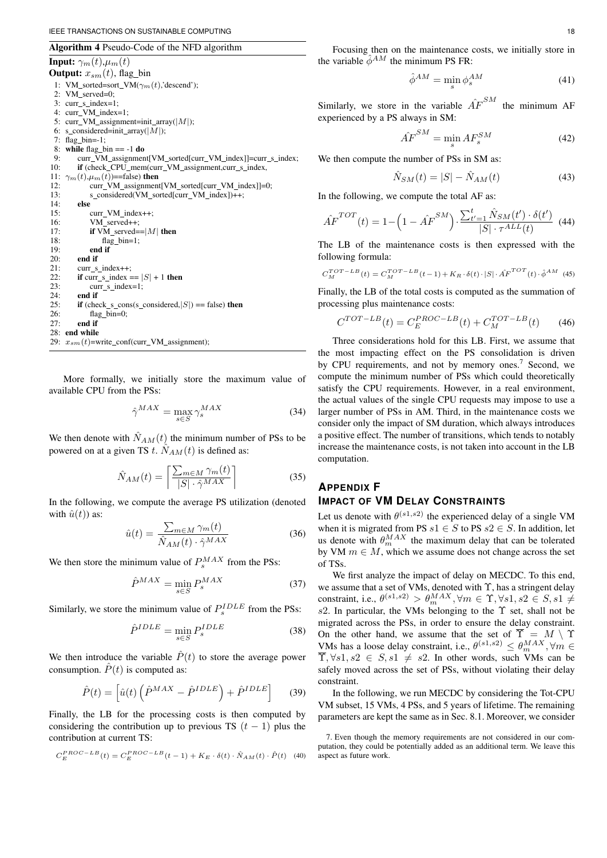Algorithm 4 Pseudo-Code of the NFD algorithm

**Input:**  $\gamma_m(t), \mu_m(t)$ 

**Output:**  $x_{sm}(t)$ , flag bin 1: VM\_sorted=sort\_VM( $\gamma_m(t)$ ,'descend'); 2: VM\_served=0; 3: curr s index=1; 4: curr\_VM\_index=1; 5: curr\_VM\_assignment=init\_array( $|M|$ );<br>6: s considered=init array( $|M|$ ); 6: s\_considered=init\_array( $|M|$ );<br>7: flag bin=-1: flag\_bin=-1; 8: while flag bin  $== -1$  do 9: curr\_VM\_assignment[VM\_sorted[curr\_VM\_index]]=curr\_s\_index; 10: if (check\_CPU\_mem(curr\_VM\_assignment,curr\_s\_index, 11:  $\gamma_m(t), \mu_m(t)$ ==false) then<br>12: curr VM assignment 12:  $\frac{\text{curr} \times \text{W}}{\text{curr} \times \text{W}}$  assignment [VM\_sorted[curr VM\_index]]=0;<br>13: s considered (VM\_sorted[curr VM\_index])++; s\_considered(VM\_sorted[curr\_VM\_index])++; 14: else 15: curr\_VM\_index++; 16: VM served++; 17: **if** VM\_served== $|M|$  then<br>18: flag bin=1:  $flag\_bin=1;$  $19<sup>°</sup>$  end if 20: **end if**  $21$ : **curr s** 21: curr\_s\_index++;<br>22: **if** curr s index = 22: **if** curr\_s\_index ==  $|S| + 1$  **then**<br>23: curr s index=1:  $curr$ <sub>*s*</sub>  $index=1$ ; 24: **end if**<br>25: **if** (che) 25: **if** (check s\_cons(s\_considered,  $|S|$ ) == false) **then** 26: flag bin=0: 26: flag\_bin=0;<br>27: end if end if 28: end while 29:  $x_{sm}(t)$ =write\_conf(curr\_VM\_assignment);

More formally, we initially store the maximum value of available CPU from the PSs:

$$
\hat{\gamma}^{MAX} = \max_{s \in S} \gamma_s^{MAX} \tag{34}
$$

We then denote with  $\hat{N}_{AM}(t)$  the minimum number of PSs to be powered on at a given TS t.  $\hat{N}_{AM}(t)$  is defined as:

$$
\hat{N}_{AM}(t) = \left[ \frac{\sum_{m \in M} \gamma_m(t)}{|S| \cdot \hat{\gamma}^{MAX}} \right] \tag{35}
$$

In the following, we compute the average PS utilization (denoted with  $\hat{u}(t)$ ) as:

$$
\hat{u}(t) = \frac{\sum_{m \in M} \gamma_m(t)}{\hat{N}_{AM}(t) \cdot \hat{\gamma}^{MAX}} \tag{36}
$$

We then store the minimum value of  $P_s^{MAX}$  from the PSs:

$$
\hat{P}^{MAX} = \min_{s \in S} P_s^{MAX} \tag{37}
$$

Similarly, we store the minimum value of  $P_s^{IDLE}$  from the PSs:

$$
\hat{P}^{IDLE} = \min_{s \in S} P_s^{IDLE} \tag{38}
$$

We then introduce the variable  $\hat{P}(t)$  to store the average power consumption.  $\hat{P}(t)$  is computed as:

$$
\hat{P}(t) = \left[ \hat{u}(t) \left( \hat{P}^{MAX} - \hat{P}^{IDLE} \right) + \hat{P}^{IDLE} \right]
$$
 (39)

Finally, the LB for the processing costs is then computed by considering the contribution up to previous TS  $(t - 1)$  plus the contribution at current TS:

$$
C_{E}^{PROC-LB}(t) = C_{E}^{PROC-LB}(t-1) + K_{E} \cdot \delta(t) \cdot \hat{N}_{AM}(t) \cdot \hat{P}(t)
$$
 (40)

Focusing then on the maintenance costs, we initially store in the variable  $\hat{\phi}^{AM}$  the minimum PS FR:

$$
\hat{\phi}^{AM} = \min_{s} \phi_s^{AM} \tag{41}
$$

Similarly, we store in the variable  $\hat{AF}^{SM}$ the minimum AF experienced by a PS always in SM:

$$
\hat{AF}^{SM} = \min_{s} AF_{s}^{SM} \tag{42}
$$

We then compute the number of PSs in SM as:

$$
\hat{N}_{SM}(t) = |S| - \hat{N}_{AM}(t) \tag{43}
$$

In the following, we compute the total AF as:

$$
\hat{AF}^{TOT}(t) = 1 - \left(1 - \hat{AF}^{SM}\right) \cdot \frac{\sum_{t'=1}^{t} \hat{N}_{SM}(t') \cdot \delta(t')}{|S| \cdot \tau^{ALL}(t)} \tag{44}
$$

The LB of the maintenance costs is then expressed with the following formula:

$$
C_M^{TOT-LB}(t) = C_M^{TOT-LB}(t-1) + K_R \cdot \delta(t) \cdot |S| \cdot \hat{AF}^{TOT}(t) \cdot \hat{\phi}^{AM} \tag{45}
$$

Finally, the LB of the total costs is computed as the summation of processing plus maintenance costs:

$$
C^{TOT-LB}(t) = C_E^{PROC-LB}(t) + C_M^{TOT-LB}(t)
$$
 (46)

Three considerations hold for this LB. First, we assume that the most impacting effect on the PS consolidation is driven by CPU requirements, and not by memory ones.<sup>7</sup> Second, we compute the minimum number of PSs which could theoretically satisfy the CPU requirements. However, in a real environment, the actual values of the single CPU requests may impose to use a larger number of PSs in AM. Third, in the maintenance costs we consider only the impact of SM duration, which always introduces a positive effect. The number of transitions, which tends to notably increase the maintenance costs, is not taken into account in the LB computation.

## **APPENDIX F IMPACT OF VM DELAY CONSTRAINTS**

Let us denote with  $\theta^{(s_1,s_2)}$  the experienced delay of a single VM when it is migrated from PS  $s1 \in S$  to PS  $s2 \in S$ . In addition, let us denote with  $\theta_m^{MAX}$  the maximum delay that can be tolerated by VM  $m \in M$ , which we assume does not change across the set of TSs.

We first analyze the impact of delay on MECDC. To this end, we assume that a set of VMs, denoted with  $\Upsilon$ , has a stringent delay constraint, i.e.,  $\theta^{(s_1, s_2)} > \theta_m^{MAX}, \forall m \in \Upsilon, \forall s_1, s_2 \in S, s_1 \neq \emptyset$ s2. In particular, the VMs belonging to the  $\Upsilon$  set, shall not be migrated across the PSs, in order to ensure the delay constraint. On the other hand, we assume that the set of  $\overline{\Upsilon} = M \setminus \Upsilon$ VMs has a loose delay constraint, i.e.,  $\theta^{(s_1,s_2)} \leq \theta_m^{MAX}, \forall m \in \mathbb{R}$  $\overline{\Upsilon}$ ,  $\forall s1, s2 \in S$ ,  $s1 \neq s2$ . In other words, such VMs can be safely moved across the set of PSs, without violating their delay constraint.

In the following, we run MECDC by considering the Tot-CPU VM subset, 15 VMs, 4 PSs, and 5 years of lifetime. The remaining parameters are kept the same as in Sec. 8.1. Moreover, we consider

<sup>7.</sup> Even though the memory requirements are not considered in our computation, they could be potentially added as an additional term. We leave this aspect as future work.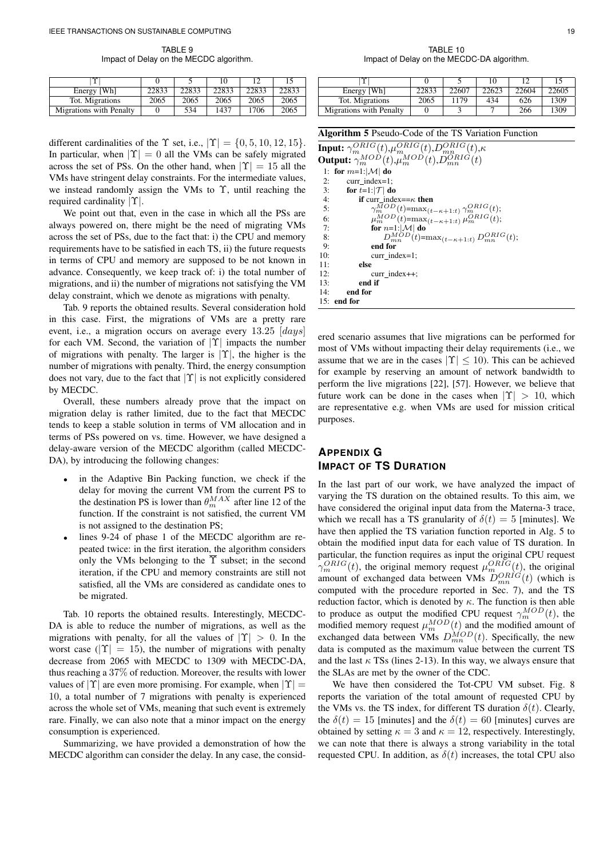TABLE 9 Impact of Delay on the MECDC algorithm.

| $\sim$                  |       |       |       |       |       |
|-------------------------|-------|-------|-------|-------|-------|
| Energy [Wh]             | 22833 | 22833 | 22833 | 22833 | 22833 |
| Tot. Migrations         | 2065  | 2065  | 2065  | 2065  | 2065  |
| Migrations with Penalty |       | 534   | 1437  | 1706  | 2065  |

different cardinalities of the  $\Upsilon$  set, i.e.,  $|\Upsilon| = \{0, 5, 10, 12, 15\}$ . In particular, when  $|\Upsilon| = 0$  all the VMs can be safely migrated across the set of PSs. On the other hand, when  $|Y| = 15$  all the VMs have stringent delay constraints. For the intermediate values, we instead randomly assign the VMs to  $\Upsilon$ , until reaching the required cardinality  $|\Upsilon|$ .

We point out that, even in the case in which all the PSs are always powered on, there might be the need of migrating VMs across the set of PSs, due to the fact that: i) the CPU and memory requirements have to be satisfied in each TS, ii) the future requests in terms of CPU and memory are supposed to be not known in advance. Consequently, we keep track of: i) the total number of migrations, and ii) the number of migrations not satisfying the VM delay constraint, which we denote as migrations with penalty.

Tab. 9 reports the obtained results. Several consideration hold in this case. First, the migrations of VMs are a pretty rare event, i.e., a migration occurs on average every  $13.25$  [ $days$ ] for each VM. Second, the variation of  $|\Upsilon|$  impacts the number of migrations with penalty. The larger is  $|\Upsilon|$ , the higher is the number of migrations with penalty. Third, the energy consumption does not vary, due to the fact that  $|\Upsilon|$  is not explicitly considered by MECDC.

Overall, these numbers already prove that the impact on migration delay is rather limited, due to the fact that MECDC tends to keep a stable solution in terms of VM allocation and in terms of PSs powered on vs. time. However, we have designed a delay-aware version of the MECDC algorithm (called MECDC-DA), by introducing the following changes:

- in the Adaptive Bin Packing function, we check if the delay for moving the current VM from the current PS to the destination PS is lower than  $\theta_m^{MAX}$  after line 12 of the function. If the constraint is not satisfied, the current VM is not assigned to the destination PS;
- lines 9-24 of phase 1 of the MECDC algorithm are repeated twice: in the first iteration, the algorithm considers only the VMs belonging to the  $\overline{\Upsilon}$  subset; in the second iteration, if the CPU and memory constraints are still not satisfied, all the VMs are considered as candidate ones to be migrated.

Tab. 10 reports the obtained results. Interestingly, MECDC-DA is able to reduce the number of migrations, as well as the migrations with penalty, for all the values of  $|Y| > 0$ . In the worst case ( $|Y| = 15$ ), the number of migrations with penalty decrease from 2065 with MECDC to 1309 with MECDC-DA, thus reaching a 37% of reduction. Moreover, the results with lower values of  $|Y|$  are even more promising. For example, when  $|Y| =$ 10, a total number of 7 migrations with penalty is experienced across the whole set of VMs, meaning that such event is extremely rare. Finally, we can also note that a minor impact on the energy consumption is experienced.

Summarizing, we have provided a demonstration of how the MECDC algorithm can consider the delay. In any case, the consid-

TABLE 10 Impact of Delay on the MECDC-DA algorithm.

| ∼                       |       |       |       | 10    |       |
|-------------------------|-------|-------|-------|-------|-------|
| Energy [Wh]             | 22833 | 22607 | 22623 | 22604 | 22605 |
| Tot. Migrations         | 2065  | 1179  | 434   | 626   | 1309  |
| Migrations with Penalty |       |       |       | 266   | 1309  |

| <b>Algorithm 5</b> Pseudo-Code of the TS Variation Function                                                                              |  |  |  |  |
|------------------------------------------------------------------------------------------------------------------------------------------|--|--|--|--|
| <b>Input:</b> $\gamma_m^{ORIG}(t), \mu_m^{ORIG}(t), D_{mn}^{ORIG}(t), \kappa$                                                            |  |  |  |  |
| <b>Output:</b> $\gamma_m^{MOD}(t), \mu_m^{MOD}(t), D_{mn}^{ORIG}(t)$                                                                     |  |  |  |  |
| 1: for $m=1$ : $ \mathcal{M} $ do                                                                                                        |  |  |  |  |
| 2:<br>curr index= $1$ ;                                                                                                                  |  |  |  |  |
| for $t=1$ : $ \mathcal{T} $ do<br>3:                                                                                                     |  |  |  |  |
| 4:<br><b>if</b> curr index== $\kappa$ then                                                                                               |  |  |  |  |
| 5:                                                                                                                                       |  |  |  |  |
| $\gamma_m^{\bar{M}OD}(t) = \max_{(t-\kappa+1:t)} \gamma_m^{ORIG}(t);$<br>$\mu_m^{MOD}(t) = \max_{(t-\kappa+1:t)} \mu_m^{ORIG}(t);$<br>6: |  |  |  |  |
| for $n=1$ : $ \mathcal{M} $ do<br>7:                                                                                                     |  |  |  |  |
| $D_{mn}^{MOD}(t) = \max_{(t-\kappa+1:t)} D_{mn}^{ORIG}(t);$<br>8:                                                                        |  |  |  |  |
| 9:<br>end for                                                                                                                            |  |  |  |  |
| 10:<br>curr index= $1$ ;                                                                                                                 |  |  |  |  |
| 11:<br>else                                                                                                                              |  |  |  |  |
| 12:<br>$curr$ index $++$ ;                                                                                                               |  |  |  |  |
| 13:<br>end if                                                                                                                            |  |  |  |  |
| 14:<br>end for                                                                                                                           |  |  |  |  |
| $15:$ end for                                                                                                                            |  |  |  |  |

ered scenario assumes that live migrations can be performed for most of VMs without impacting their delay requirements (i.e., we assume that we are in the cases  $|\Upsilon| \leq 10$ ). This can be achieved for example by reserving an amount of network bandwidth to perform the live migrations [22], [57]. However, we believe that future work can be done in the cases when  $|Y| > 10$ , which are representative e.g. when VMs are used for mission critical purposes.

### **APPENDIX G IMPACT OF TS DURATION**

In the last part of our work, we have analyzed the impact of varying the TS duration on the obtained results. To this aim, we have considered the original input data from the Materna-3 trace, which we recall has a TS granularity of  $\delta(t) = 5$  [minutes]. We have then applied the TS variation function reported in Alg. 5 to obtain the modified input data for each value of TS duration. In particular, the function requires as input the original CPU request  $\gamma_m^{ORIG}(t)$ , the original memory request  $\mu_m^{ORIG}(t)$ , the original amount of exchanged data between VMs  $D_{mn}^{ORIG}(t)$  (which is computed with the procedure reported in Sec. 7), and the TS reduction factor, which is denoted by  $\kappa$ . The function is then able to produce as output the modified CPU request  $\gamma_m^{MOD}(t)$ , the modified memory request  $\mu_m^{MOD}(t)$  and the modified amount of exchanged data between VMs  $D_{mn}^{MOD}(t)$ . Specifically, the new data is computed as the maximum value between the current TS and the last  $\kappa$  TSs (lines 2-13). In this way, we always ensure that the SLAs are met by the owner of the CDC.

We have then considered the Tot-CPU VM subset. Fig. 8 reports the variation of the total amount of requested CPU by the VMs vs. the TS index, for different TS duration  $\delta(t)$ . Clearly, the  $\delta(t) = 15$  [minutes] and the  $\delta(t) = 60$  [minutes] curves are obtained by setting  $\kappa = 3$  and  $\kappa = 12$ , respectively. Interestingly, we can note that there is always a strong variability in the total requested CPU. In addition, as  $\delta(t)$  increases, the total CPU also